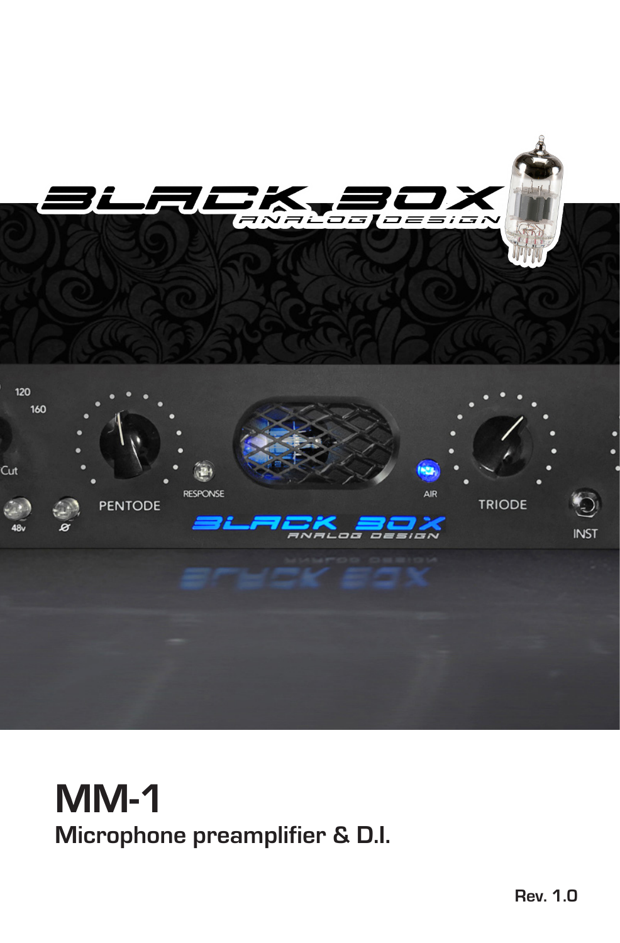

## **MM-1 Microphone preamplifier & D.I.**

**Rev. 1.0**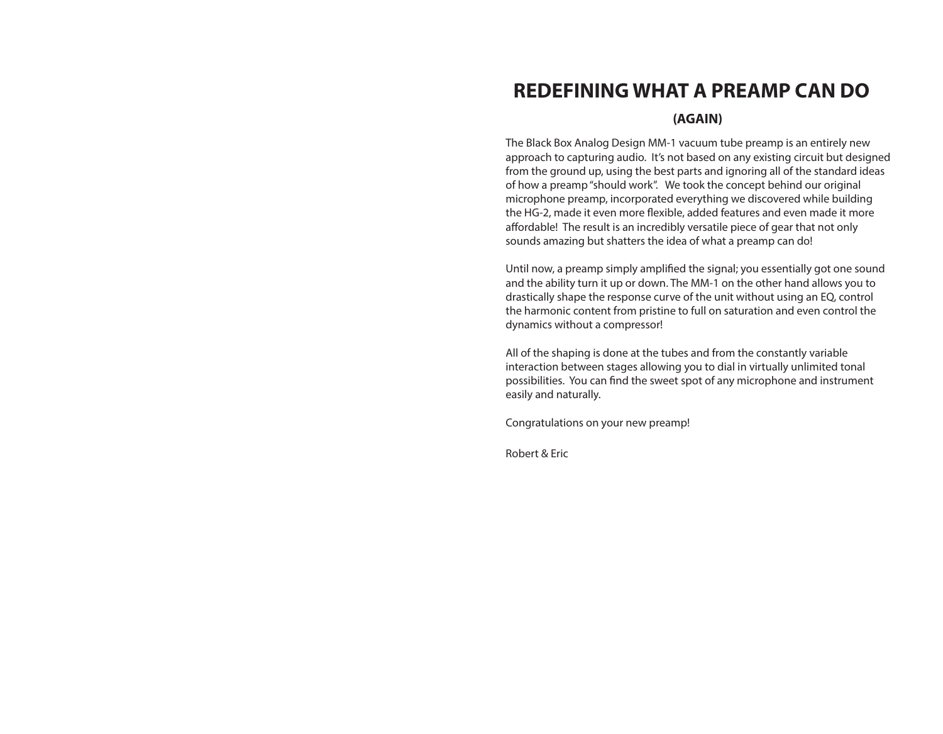### **REDEFINING WHAT A PREAMP CAN DO**

#### **(AGAIN)**

The Black Box Analog Design MM-1 vacuum tube preamp is an entirely new approach to capturing audio. It's not based on any existing circuit but designed from the ground up, using the best parts and ignoring all of the standard ideas of how a preamp "should work". We took the concept behind our original microphone preamp, incorporated everything we discovered while building the HG-2, made it even more flexible, added features and even made it more affordable! The result is an incredibly versatile piece of gear that not only sounds amazing but shatters the idea of what a preamp can do!

Until now, a preamp simply amplified the signal; you essentially got one sound and the ability turn it up or down. The MM-1 on the other hand allows you to drastically shape the response curve of the unit without using an EQ, control the harmonic content from pristine to full on saturation and even control the dynamics without a compressor!

All of the shaping is done at the tubes and from the constantly variable interaction between stages allowing you to dial in virtually unlimited tonal possibilities. You can find the sweet spot of any microphone and instrument easily and naturally.

Congratulations on your new preamp!

Robert & Eric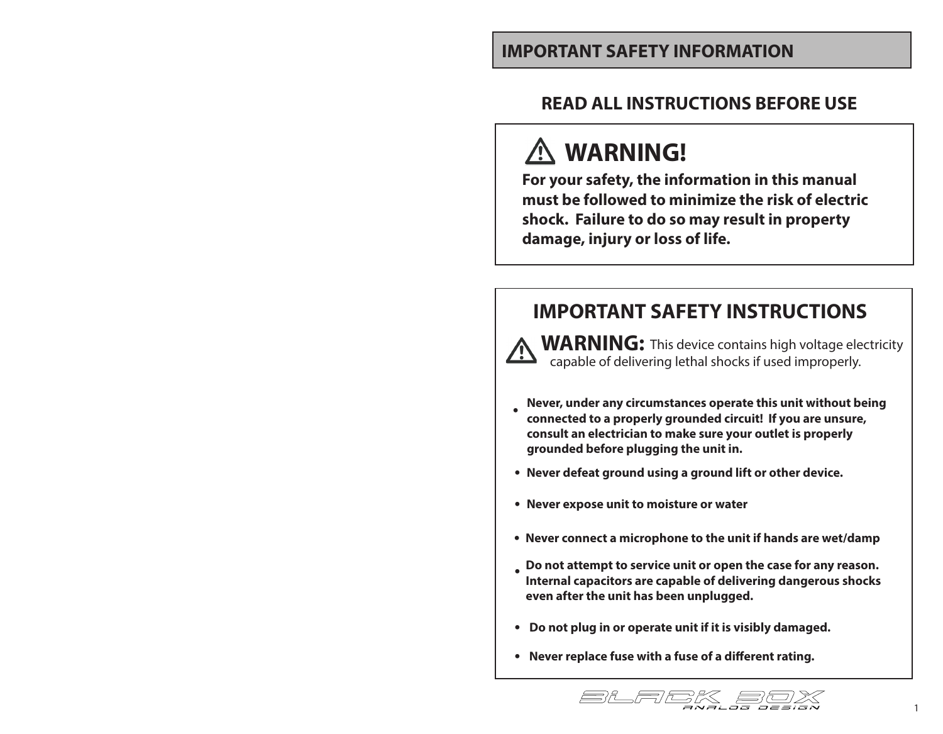### **IMPORTANT SAFETY INFORMATION**

### **READ ALL INSTRUCTIONS BEFORE USE**

# **WARNING!**

<u>/!\</u>

**For your safety, the information in this manual must be followed to minimize the risk of electric shock. Failure to do so may result in property damage, injury or loss of life.**

### **IMPORTANT SAFETY INSTRUCTIONS**

**WARNING:** This device contains high voltage electricity capable of delivering lethal shocks if used improperly.

- **Never, under any circumstances operate this unit without being connected to a properly grounded circuit! If you are unsure, consult an electrician to make sure your outlet is properly grounded before plugging the unit in. •**
- **Never defeat ground using a ground lift or other device.**
- **Never expose unit to moisture or water**
- **Never connect a microphone to the unit if hands are wet/damp**
- **Do not attempt to service unit or open the case for any reason. • Internal capacitors are capable of delivering dangerous shocks even after the unit has been unplugged.**
- **Do not plug in or operate unit if it is visibly damaged.**
- **Never replace fuse with a fuse of a different rating.**

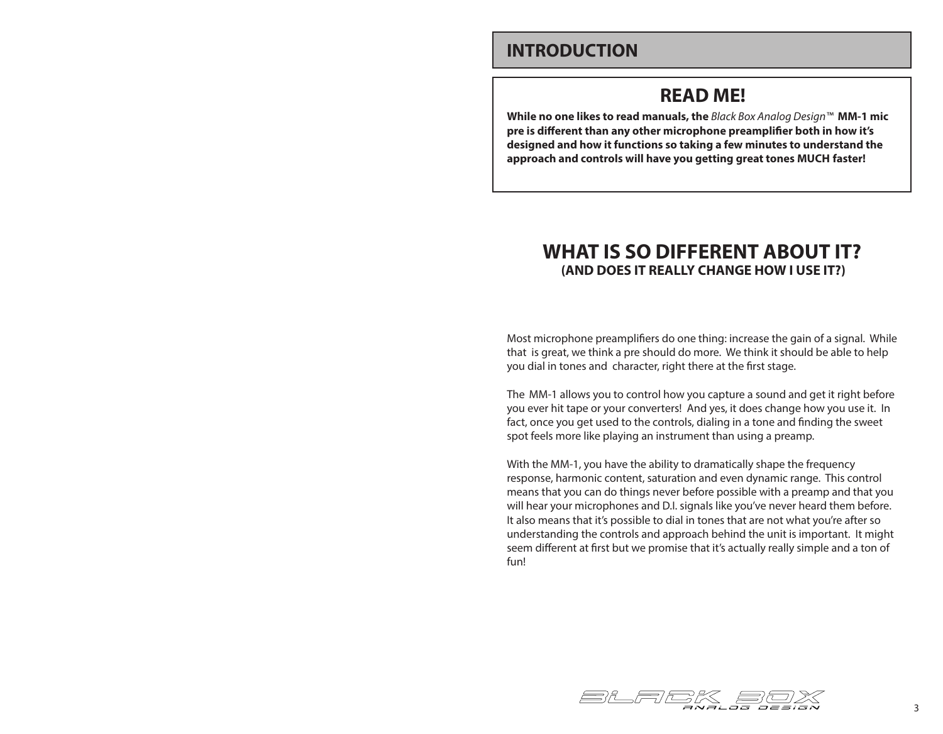### **INTRODUCTION**

### **READ ME!**

**While no one likes to read manuals, the** *Black Box Analog Design™* **MM-1 mic pre is different than any other microphone preamplifier both in how it's designed and how it functions so taking a few minutes to understand the approach and controls will have you getting great tones MUCH faster!**

### **WHAT IS SO DIFFERENT ABOUT IT? (AND DOES IT REALLY CHANGE HOW I USE IT?)**

Most microphone preamplifiers do one thing: increase the gain of a signal. While that is great, we think a pre should do more. We think it should be able to help you dial in tones and character, right there at the first stage.

TheMM-1 allows you to control how you capture a sound and get it right before you ever hit tape or your converters! And yes, it does change how you use it. In fact, once you get used to the controls, dialing in a tone and finding the sweet spot feels more like playing an instrument than using a preamp.

With the MM-1, you have the ability to dramatically shape the frequency response, harmonic content, saturation and even dynamic range. This control means that you can do things never before possible with a preamp and that you will hear your microphones and D.I. signals like you've never heard them before. It also means that it's possible to dial in tones that are not what you're after so understanding the controls and approach behind the unit is important. It might seem different at first but we promise that it's actually really simple and a ton of fun!

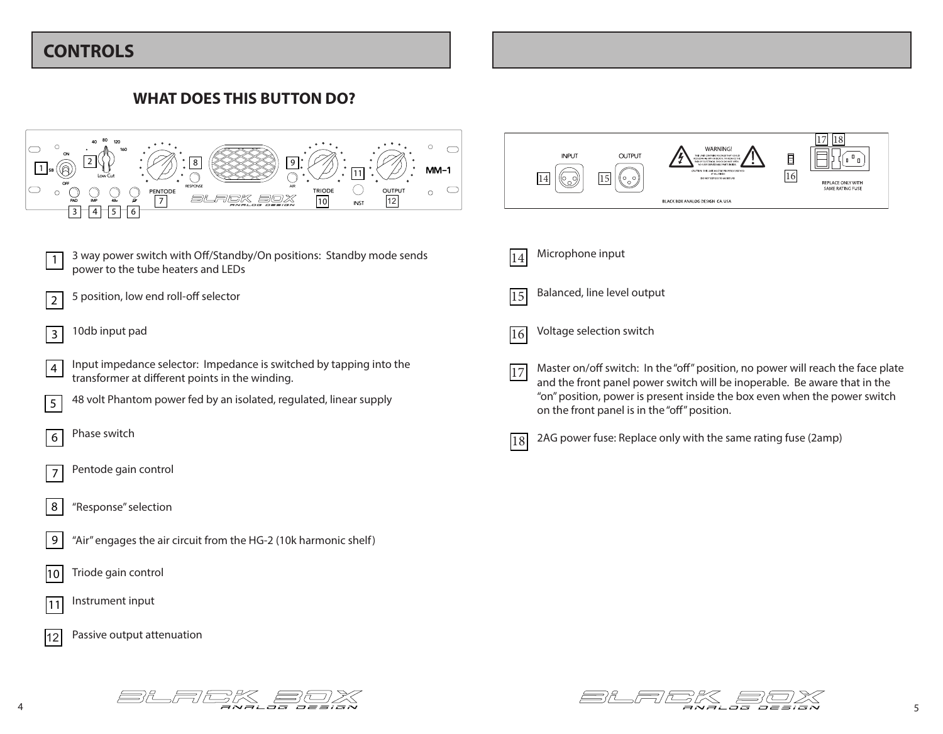### **CONTROLS**

#### **WHAT DOES THIS BUTTON DO?**





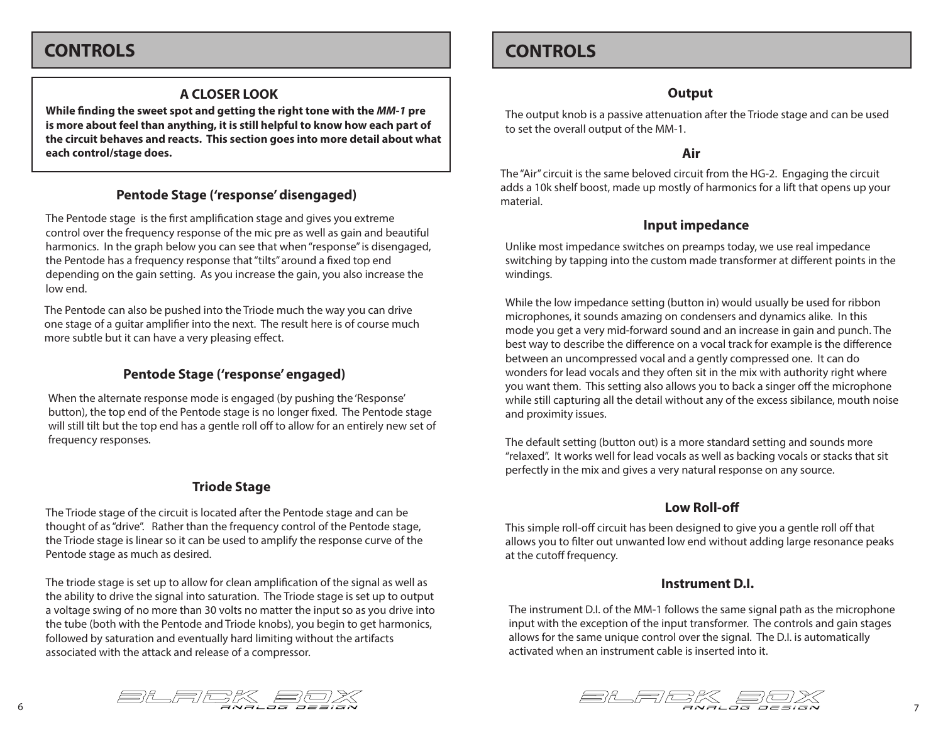### **CONTROLS**

#### **A CLOSER LOOK**

**While finding the sweet spot and getting the right tone with the** *MM-1* **pre is more about feel than anything, it is still helpful to know how each part of the circuit behaves and reacts. This section goes into more detail about what each control/stage does.**

#### **Pentode Stage ('response' disengaged)**

The Pentode stage is the first amplification stage and gives you extreme control over the frequency response of the mic pre as well as gain and beautiful harmonics. In the graph below you can see that when "response" is disengaged, the Pentode has a frequency response that "tilts" around a fixed top end depending on the gain setting. As you increase the gain, you also increase the low end.

The Pentode can also be pushed into the Triode much the way you can drive one stage of a guitar amplifier into the next. The result here is of course much more subtle but it can have a very pleasing effect.

#### **Pentode Stage ('response' engaged)**

When the alternate response mode is engaged (by pushing the 'Response' button), the top end of the Pentode stage is no longer fixed. The Pentode stage will still tilt but the top end has a gentle roll off to allow for an entirely new set of frequency responses.

#### **Triode Stage**

The Triode stage of the circuit is located after the Pentode stage and can be thought of as "drive". Rather than the frequency control of the Pentode stage, the Triode stage is linear so it can be used to amplify the response curve of the Pentode stage as much as desired.

The triode stage is set up to allow for clean amplification of the signal as well as the ability to drive the signal into saturation. The Triode stage is set up to output a voltage swing of no more than 30 volts no matter the input so as you drive into the tube (both with the Pentode and Triode knobs), you begin to get harmonics, followed by saturation and eventually hard limiting without the artifacts associated with the attack and release of a compressor.

### **CONTROLS**

#### **Output**

The output knob is a passive attenuation after the Triode stage and can be used to set the overall output of the MM-1.

#### **Air**

The "Air" circuit is the same beloved circuit from the HG-2. Engaging the circuit adds a 10k shelf boost, made up mostly of harmonics for a lift that opens up your material.

#### **Input impedance**

Unlike most impedance switches on preamps today, we use real impedance switching by tapping into the custom made transformer at different points in the windings.

While the low impedance setting (button in) would usually be used for ribbon microphones, it sounds amazing on condensers and dynamics alike. In this mode you get a very mid-forward sound and an increase in gain and punch. The best way to describe the difference on a vocal track for example is the difference between an uncompressed vocal and a gently compressed one. It can do wonders for lead vocals and they often sit in the mix with authority right where you want them. This setting also allows you to back a singer off the microphone while still capturing all the detail without any of the excess sibilance, mouth noise and proximity issues.

The default setting (button out) is a more standard setting and sounds more "relaxed". It works well for lead vocals as well as backing vocals or stacks that sit perfectly in the mix and gives a very natural response on any source.

#### **Low Roll-off**

This simple roll-off circuit has been designed to give you a gentle roll off that allows you to filter out unwanted low end without adding large resonance peaks at the cutoff frequency.

#### **Instrument D.I.**

The instrument D.I. of the MM-1 follows the same signal path as the microphone input with the exception of the input transformer. The controls and gain stages allows for the same unique control over the signal. The D.I. is automatically activated when an instrument cable is inserted into it.



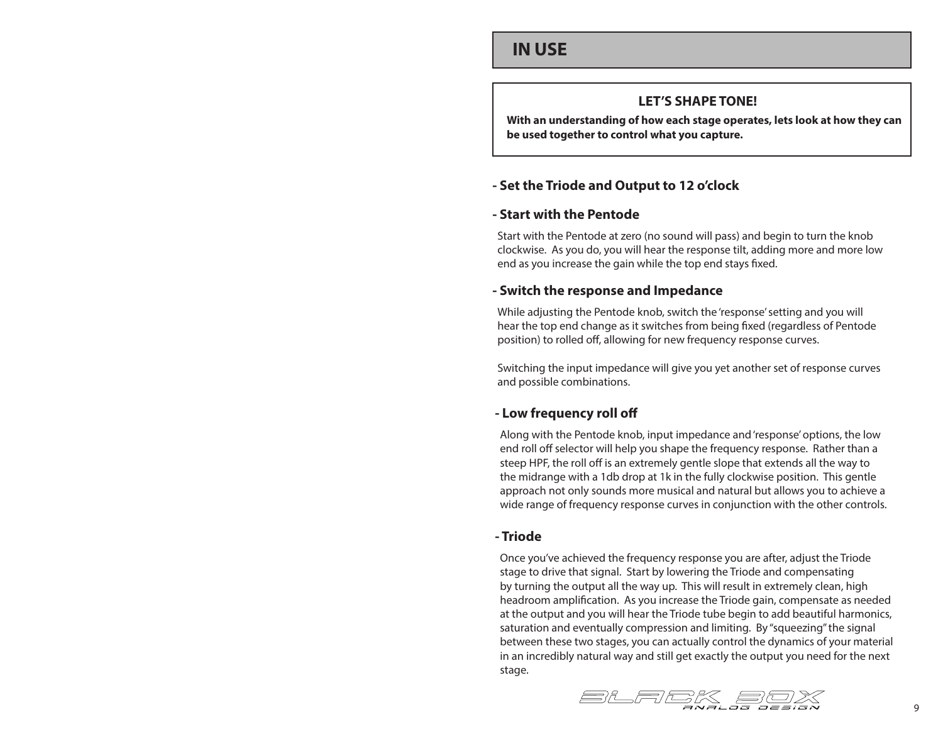### **IN USE**

#### **LET'S SHAPE TONE!**

**With an understanding of how each stage operates, lets look at how they can be used together to control what you capture.**

#### **- Set the Triode and Output to 12 o'clock**

#### **- Start with the Pentode**

Start with the Pentode at zero (no sound will pass) and begin to turn the knob clockwise. As you do, you will hear the response tilt, adding more and more low end as you increase the gain while the top end stays fixed.

#### **- Switch the response and Impedance**

While adjusting the Pentode knob, switch the 'response' setting and you will hear the top end change as it switches from being fixed (regardless of Pentode position) to rolled off, allowing for new frequency response curves.

Switching the input impedance will give you yet another set of response curves and possible combinations.

#### **- Low frequency roll off**

Along with the Pentode knob, input impedance and 'response' options, the low end roll off selector will help you shape the frequency response. Rather than a steep HPF, the roll off is an extremely gentle slope that extends all the way to the midrange with a 1db drop at 1k in the fully clockwise position. This gentle approach not only sounds more musical and natural but allows you to achieve a wide range of frequency response curves in conjunction with the other controls.

#### **- Triode**

Once you've achieved the frequency response you are after, adjust the Triode stage to drive that signal. Start by lowering the Triode and compensating by turning the output all the way up. This will result in extremely clean, high headroom amplification. As you increase the Triode gain, compensate as needed at the output and you will hear the Triode tube begin to add beautiful harmonics, saturation and eventually compression and limiting. By "squeezing" the signal between these two stages, you can actually control the dynamics of your material in an incredibly natural way and still get exactly the output you need for the next stage.

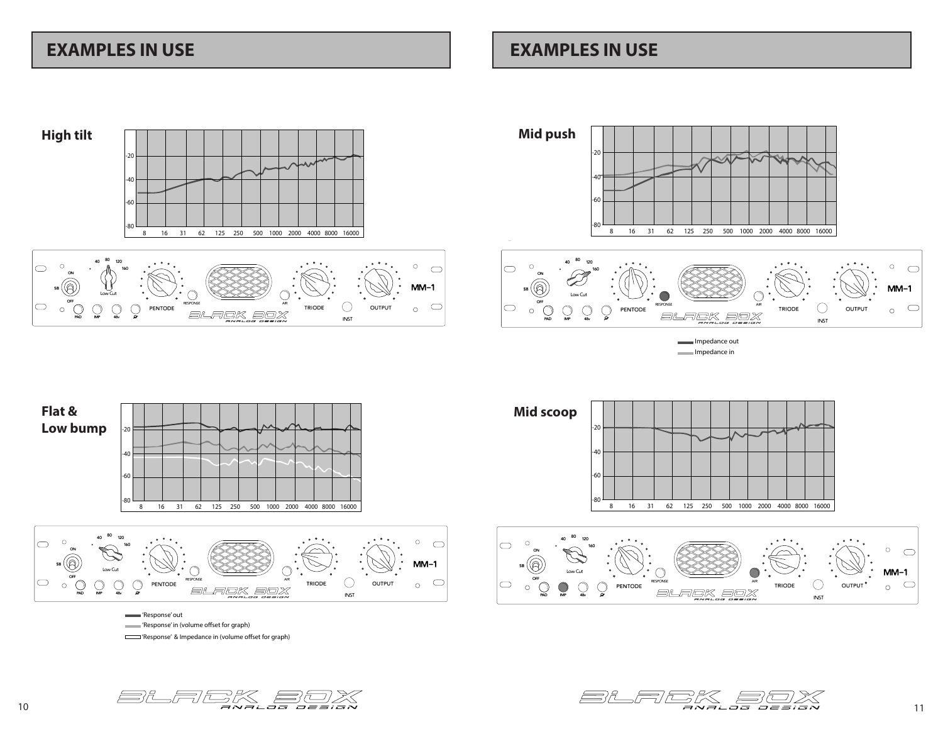### **EXAMPLES IN USE EXAMPLES IN USE**

**PAD**

 $\circ$  $\circlearrowright$  $\bigcirc$ 

 $\bigcirc$ 

**IMP 48v O**

PENTODE

SA.



**OUTPUT** 

C

 $\sim$ 

INST





Impedance out Impedance in



'Response' out 'Response' in (volume offset for graph) 'Response' & Impedance in (volume offset for graph)



RESPONSE AIR

FEK BOX